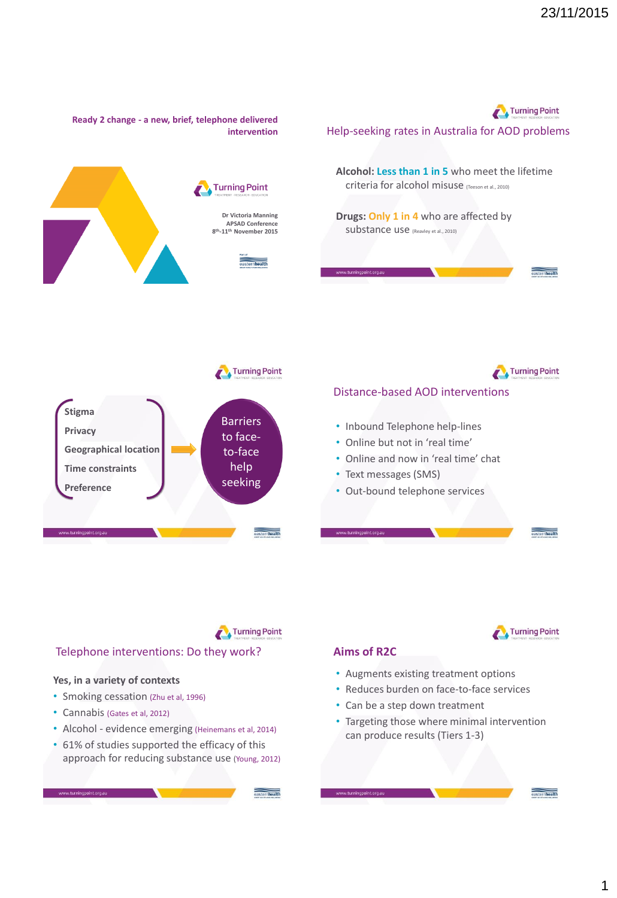

Turning Point

**Thealth** 

## Telephone interventions: Do they work?

# **Yes, in a variety of contexts**

- Smoking cessation (Zhu et al, 1996)
- Cannabis (Gates et al, 2012)

www.turningpoint.org.au

- Alcohol evidence emerging (Heinemans et al, 2014)
- 61% of studies supported the efficacy of this approach for reducing substance use (Young, 2012)



Turning Point

**embealth** 

- Augments existing treatment options
- Reduces burden on face-to-face services
- Can be a step down treatment

**Aims of R2C**

• Targeting those where minimal intervention can produce results (Tiers 1-3)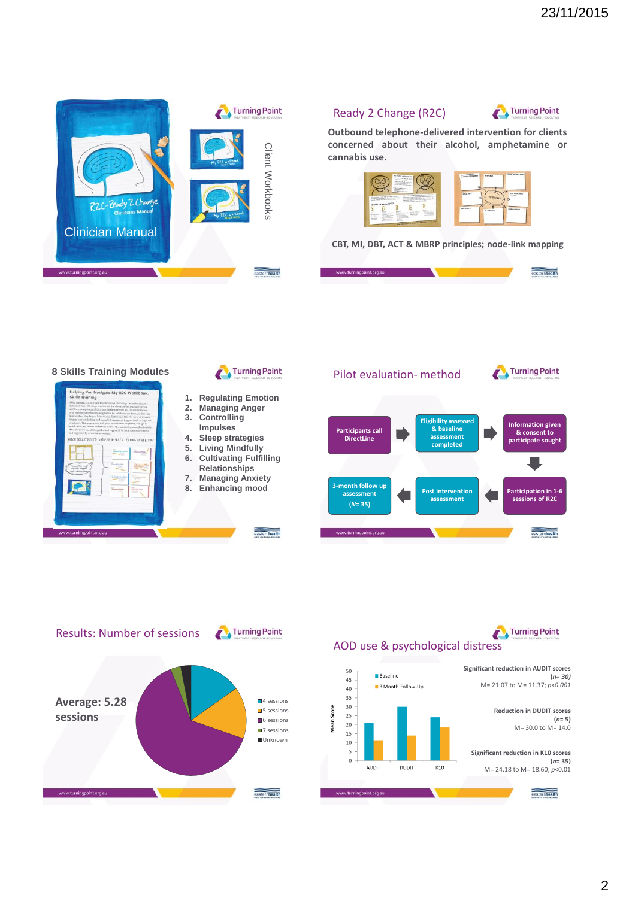

# Ready 2 Change (R2C)



**Outbound telephone-delivered intervention for clients concerned about their alcohol, amphetamine or cannabis use.**



**CBT, MI, DBT, ACT & MBRP principles; node-link mapping**



#### **8 Skills Training Modules**





Turning Point

- **4. Sleep strategies**
- **5. Living Mindfully**
- **6. Cultivating Fulfilling Relationships**
- **7. Managing Anxiety**
- **8. Enhancing mood**





## Turning Point AOD use & psychological distress